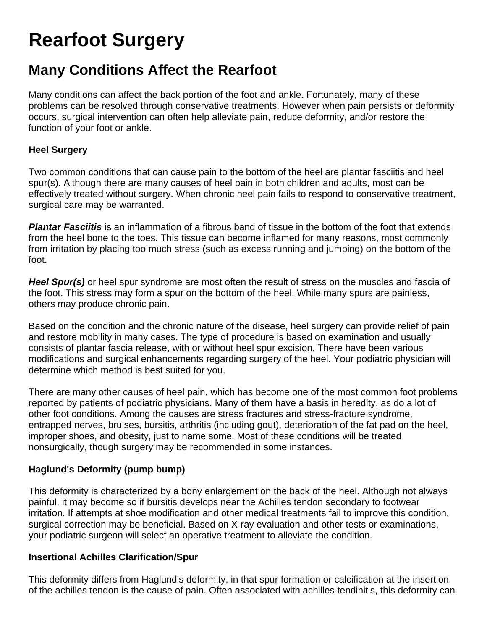# **Rearfoot Surgery**

## **Many Conditions Affect the Rearfoot**

Many conditions can affect the back portion of the foot and ankle. Fortunately, many of these problems can be resolved through conservative treatments. However when pain persists or deformity occurs, surgical intervention can often help alleviate pain, reduce deformity, and/or restore the function of your foot or ankle.

### **Heel Surgery**

Two common conditions that can cause pain to the bottom of the heel are plantar fasciitis and heel spur(s). Although there are many causes of heel pain in both children and adults, most can be effectively treated without surgery. When chronic heel pain fails to respond to conservative treatment, surgical care may be warranted.

*Plantar Fasciitis* is an inflammation of a fibrous band of tissue in the bottom of the foot that extends from the heel bone to the toes. This tissue can become inflamed for many reasons, most commonly from irritation by placing too much stress (such as excess running and jumping) on the bottom of the foot.

*Heel Spur(s)* or heel spur syndrome are most often the result of stress on the muscles and fascia of the foot. This stress may form a spur on the bottom of the heel. While many spurs are painless, others may produce chronic pain.

Based on the condition and the chronic nature of the disease, heel surgery can provide relief of pain and restore mobility in many cases. The type of procedure is based on examination and usually consists of plantar fascia release, with or without heel spur excision. There have been various modifications and surgical enhancements regarding surgery of the heel. Your podiatric physician will determine which method is best suited for you.

There are many other causes of heel pain, which has become one of the most common foot problems reported by patients of podiatric physicians. Many of them have a basis in heredity, as do a lot of other foot conditions. Among the causes are stress fractures and stress-fracture syndrome, entrapped nerves, bruises, bursitis, arthritis (including gout), deterioration of the fat pad on the heel, improper shoes, and obesity, just to name some. Most of these conditions will be treated nonsurgically, though surgery may be recommended in some instances.

#### **Haglund's Deformity (pump bump)**

This deformity is characterized by a bony enlargement on the back of the heel. Although not always painful, it may become so if bursitis develops near the Achilles tendon secondary to footwear irritation. If attempts at shoe modification and other medical treatments fail to improve this condition, surgical correction may be beneficial. Based on X-ray evaluation and other tests or examinations, your podiatric surgeon will select an operative treatment to alleviate the condition.

#### **Insertional Achilles Clarification/Spur**

This deformity differs from Haglund's deformity, in that spur formation or calcification at the insertion of the achilles tendon is the cause of pain. Often associated with achilles tendinitis, this deformity can